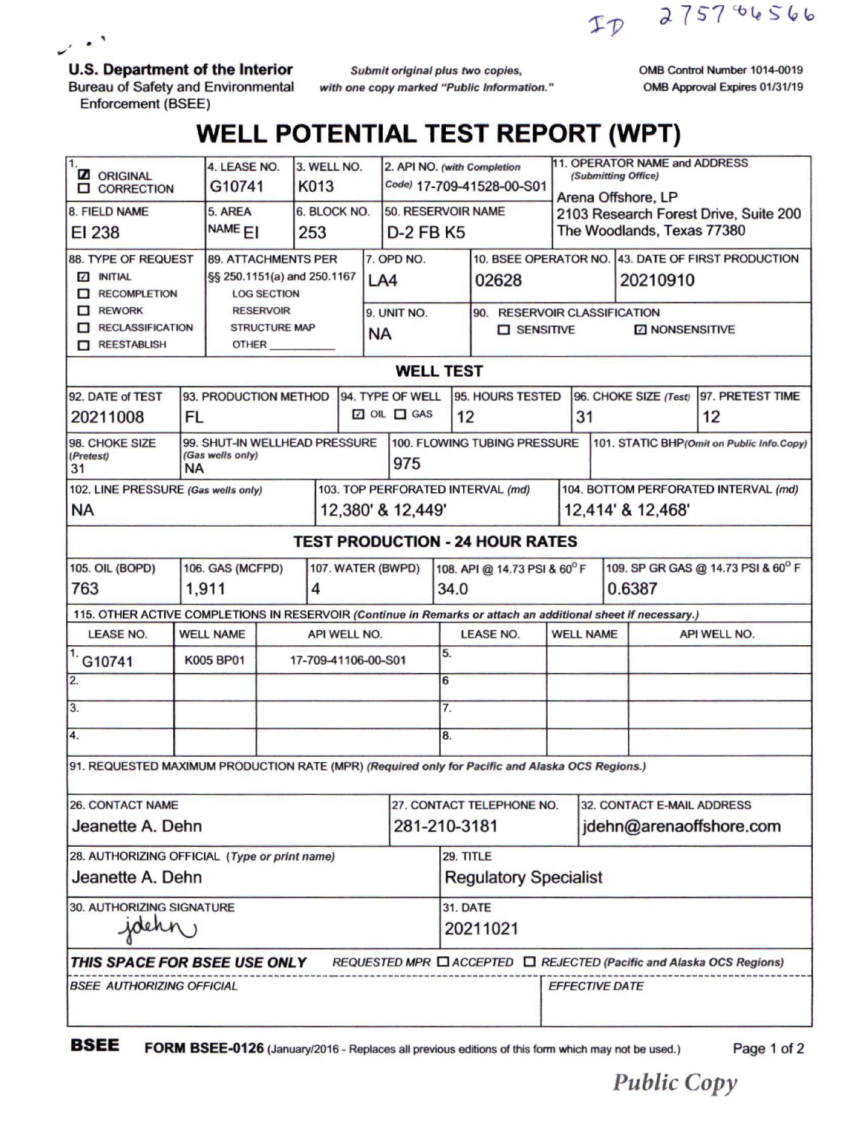ID 2757<sup>86</sup>6566

**U.S. Department of the Interior**

 $\mathcal{L}$ .

Bureau of Safety and Environmental Enforcement (BSEE)

*Submit original plus two copies*, *with one copy marked "Public Information.* OMB Control Number 1014-0019 OMB Approval Expires 01/31/19

## **WELL POTENTIAL TEST REPORT (WPT)**

| 1.<br><b>Z</b> ORIGINAL<br><b>Q</b> CORRECTION                                                                              |                               | 4. LEASE NO.<br>G10741                 |                     | 3. WELL NO.<br>K013 |                                           | 2. API NO. (with Completion<br>Code) 17-709-41528-00-S01 |                              |                                                                              | 11. OPERATOR NAME and ADDRESS<br>(Submitting Office)<br>Arena Offshore, LP |                                       |                                                    |              |  |
|-----------------------------------------------------------------------------------------------------------------------------|-------------------------------|----------------------------------------|---------------------|---------------------|-------------------------------------------|----------------------------------------------------------|------------------------------|------------------------------------------------------------------------------|----------------------------------------------------------------------------|---------------------------------------|----------------------------------------------------|--------------|--|
| 8. FIELD NAME                                                                                                               |                               | 5. AREA                                |                     | 6. BLOCK NO.        |                                           | 50. RESERVOIR NAME                                       |                              |                                                                              |                                                                            | 2103 Research Forest Drive, Suite 200 |                                                    |              |  |
| EI 238                                                                                                                      |                               | NAME <sub>EI</sub><br>253              |                     |                     | D-2 FB K5                                 |                                                          |                              |                                                                              |                                                                            | The Woodlands, Texas 77380            |                                                    |              |  |
| 88. TYPE OF REQUEST<br><b>89. ATTACHMENTS PER</b>                                                                           |                               |                                        |                     |                     |                                           | 7. OPD NO.                                               |                              |                                                                              |                                                                            |                                       | 10. BSEE OPERATOR NO. 43. DATE OF FIRST PRODUCTION |              |  |
| <b>7 INITIAL</b>                                                                                                            |                               | §§ 250.1151(a) and 250.1167            |                     |                     |                                           | LA4                                                      |                              | 02628                                                                        |                                                                            | 20210910                              |                                                    |              |  |
| RECOMPLETION<br>$\Box$ REWORK                                                                                               |                               | <b>LOG SECTION</b><br><b>RESERVOIR</b> |                     |                     |                                           |                                                          |                              |                                                                              |                                                                            |                                       |                                                    |              |  |
| RECLASSIFICATION                                                                                                            |                               | <b>STRUCTURE MAP</b>                   |                     |                     | 9. UNIT NO.                               |                                                          |                              | 90. RESERVOIR CLASSIFICATION<br>$\square$ SENSITIVE<br><b>Z NONSENSITIVE</b> |                                                                            |                                       |                                                    |              |  |
| REESTABLISH                                                                                                                 |                               | OTHER                                  |                     |                     | NA                                        |                                                          |                              |                                                                              |                                                                            |                                       |                                                    |              |  |
| <b>WELL TEST</b>                                                                                                            |                               |                                        |                     |                     |                                           |                                                          |                              |                                                                              |                                                                            |                                       |                                                    |              |  |
| 94. TYPE OF WELL<br>95. HOURS TESTED<br>96. CHOKE SIZE (Test) 97. PRETEST TIME<br>92. DATE of TEST<br>93. PRODUCTION METHOD |                               |                                        |                     |                     |                                           |                                                          |                              |                                                                              |                                                                            |                                       |                                                    |              |  |
|                                                                                                                             |                               |                                        |                     |                     | $\Box$ OIL $\Box$ GAS                     |                                                          |                              |                                                                              | 31                                                                         |                                       | 12                                                 |              |  |
| 20211008<br>FL                                                                                                              |                               |                                        |                     |                     |                                           |                                                          | 12                           |                                                                              |                                                                            |                                       |                                                    |              |  |
| 98. CHOKE SIZE<br>(Pretest)                                                                                                 | 99. SHUT-IN WELLHEAD PRESSURE | 100. FLOWING TUBING PRESSURE           |                     |                     | 101. STATIC BHP(Omit on Public Info.Copy) |                                                          |                              |                                                                              |                                                                            |                                       |                                                    |              |  |
| (Gas wells only)<br><b>NA</b><br>31                                                                                         |                               |                                        |                     |                     |                                           | 975                                                      |                              |                                                                              |                                                                            |                                       |                                                    |              |  |
| 102. LINE PRESSURE (Gas wells only)                                                                                         |                               |                                        |                     |                     | 103. TOP PERFORATED INTERVAL (md)         |                                                          |                              |                                                                              |                                                                            | 104. BOTTOM PERFORATED INTERVAL (md)  |                                                    |              |  |
| <b>NA</b>                                                                                                                   |                               |                                        |                     |                     | 12,380' & 12,449'                         |                                                          |                              |                                                                              |                                                                            | 12,414' & 12,468'                     |                                                    |              |  |
| <b>TEST PRODUCTION - 24 HOUR RATES</b>                                                                                      |                               |                                        |                     |                     |                                           |                                                          |                              |                                                                              |                                                                            |                                       |                                                    |              |  |
| 105. OIL (BOPD)<br>106. GAS (MCFPD)<br>107. WATER (BWPD)                                                                    |                               |                                        |                     |                     |                                           |                                                          |                              | 108. API @ 14.73 PSI & 60°F                                                  |                                                                            |                                       | 109. SP GR GAS @ 14.73 PSI & 60° F                 |              |  |
| 763<br>1,911<br>4                                                                                                           |                               |                                        |                     |                     |                                           |                                                          |                              | 34.0                                                                         |                                                                            | 0.6387                                |                                                    |              |  |
| 115. OTHER ACTIVE COMPLETIONS IN RESERVOIR (Continue in Remarks or attach an additional sheet if necessary.)                |                               |                                        |                     |                     |                                           |                                                          |                              |                                                                              |                                                                            |                                       |                                                    |              |  |
| <b>LEASE NO.</b><br><b>WELL NAME</b>                                                                                        |                               |                                        |                     |                     | API WELL NO.                              |                                                          |                              | <b>LEASE NO.</b>                                                             |                                                                            | <b>WELL NAME</b>                      |                                                    | API WELL NO. |  |
| G10741                                                                                                                      | K005 BP01                     |                                        | 17-709-41106-00-S01 |                     |                                           | 5.                                                       |                              |                                                                              |                                                                            |                                       |                                                    |              |  |
| 2.                                                                                                                          |                               |                                        |                     |                     |                                           |                                                          | 6                            |                                                                              |                                                                            |                                       |                                                    |              |  |
| 3.                                                                                                                          |                               |                                        |                     |                     |                                           |                                                          | 7.                           |                                                                              |                                                                            |                                       |                                                    |              |  |
| 4.                                                                                                                          |                               |                                        |                     |                     |                                           |                                                          | 8.                           |                                                                              |                                                                            |                                       |                                                    |              |  |
| 91. REQUESTED MAXIMUM PRODUCTION RATE (MPR) (Required only for Pacific and Alaska OCS Regions.)                             |                               |                                        |                     |                     |                                           |                                                          |                              |                                                                              |                                                                            |                                       |                                                    |              |  |
| <b>26. CONTACT NAME</b>                                                                                                     |                               |                                        |                     |                     |                                           |                                                          |                              | 27. CONTACT TELEPHONE NO.<br>32. CONTACT E-MAIL ADDRESS                      |                                                                            |                                       |                                                    |              |  |
| 281-210-3181<br>Jeanette A. Dehn                                                                                            |                               |                                        |                     |                     |                                           |                                                          |                              |                                                                              | jdehn@arenaoffshore.com                                                    |                                       |                                                    |              |  |
| 28. AUTHORIZING OFFICIAL (Type or print name)                                                                               |                               |                                        |                     |                     |                                           |                                                          | 29. TITLE                    |                                                                              |                                                                            |                                       |                                                    |              |  |
| Jeanette A. Dehn                                                                                                            |                               |                                        |                     |                     |                                           |                                                          | <b>Regulatory Specialist</b> |                                                                              |                                                                            |                                       |                                                    |              |  |
| <b>30. AUTHORIZING SIGNATURE</b>                                                                                            |                               |                                        |                     |                     |                                           |                                                          | <b>31. DATE</b>              |                                                                              |                                                                            |                                       |                                                    |              |  |
| jdehn,                                                                                                                      |                               |                                        |                     |                     |                                           |                                                          | 20211021                     |                                                                              |                                                                            |                                       |                                                    |              |  |
| THIS SPACE FOR BSEE USE ONLY<br>REQUESTED MPR □ ACCEPTED □ REJECTED (Pacific and Alaska OCS Regions)                        |                               |                                        |                     |                     |                                           |                                                          |                              |                                                                              |                                                                            |                                       |                                                    |              |  |
| BSEE AUTHORIZING OFFICIAL                                                                                                   |                               |                                        |                     |                     |                                           |                                                          |                              |                                                                              | <b>EFFECTIVE DATE</b>                                                      |                                       |                                                    |              |  |

**BSEE FORM BSEE-0126** (January/2016 - Replaces all previous editions of this form which may not be used.) Page <sup>1</sup> of <sup>2</sup>

*Public Copy*